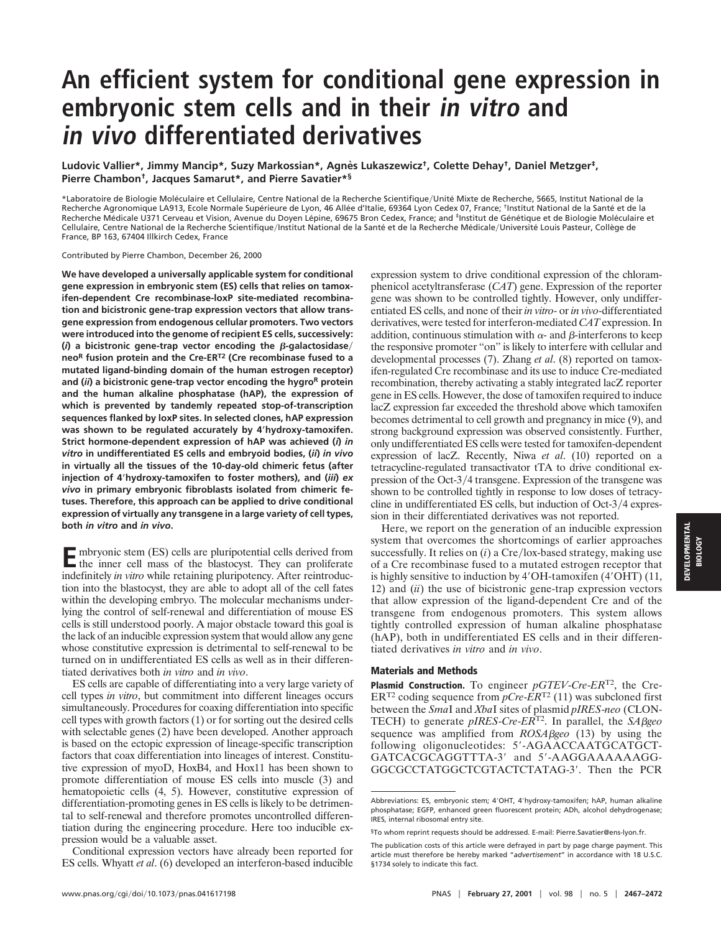## **An efficient system for conditional gene expression in embryonic stem cells and in their in vitro and in vivo differentiated derivatives**

**Ludovic Vallier\*, Jimmy Mancip\*, Suzy Markossian\*, Agne` s Lukaszewicz†, Colette Dehay†, Daniel Metzger‡, Pierre Chambon†, Jacques Samarut\*, and Pierre Savatier\*§**

\*Laboratoire de Biologie Moléculaire et Cellulaire, Centre National de la Recherche Scientifique/Unité Mixte de Recherche, 5665, Institut National de la Recherche Agronomique LA913, Ecole Normale Supérieure de Lyon, 46 Allée d'Italie, 69364 Lyon Cedex 07, France; †Institut National de la Santé et de la Recherche Médicale U371 Cerveau et Vision, Avenue du Doyen Lépine, 69675 Bron Cedex, France; and <sup>‡</sup>Institut de Génétique et de Biologie Moléculaire et Cellulaire, Centre National de la Recherche Scientifique/Institut National de la Santé et de la Recherche Médicale/Université Louis Pasteur, Collège de France, BP 163, 67404 Illkirch Cedex, France

Contributed by Pierre Chambon, December 26, 2000

**We have developed a universally applicable system for conditional gene expression in embryonic stem (ES) cells that relies on tamoxifen-dependent Cre recombinase-loxP site-mediated recombination and bicistronic gene-trap expression vectors that allow transgene expression from endogenous cellular promoters. Two vectors were introduced into the genome of recipient ES cells, successively:** ( $i$ ) a bicistronic gene-trap vector encoding the  $\beta$ -galactosidase/ **neo<sup>R</sup> fusion protein and the Cre-ERT2 (Cre recombinase fused to a mutated ligand-binding domain of the human estrogen receptor) and (***ii***) a bicistronic gene-trap vector encoding the hygro<sup>R</sup> protein and the human alkaline phosphatase (hAP), the expression of which is prevented by tandemly repeated stop-of-transcription sequences flanked by loxP sites. In selected clones, hAP expression was shown to be regulated accurately by 4**\***hydroxy-tamoxifen. Strict hormone-dependent expression of hAP was achieved (***i***)** *in vitro* **in undifferentiated ES cells and embryoid bodies, (***ii***)** *in vivo* **in virtually all the tissues of the 10-day-old chimeric fetus (after injection of 4**\***hydroxy-tamoxifen to foster mothers), and (***iii***)** *ex vivo* **in primary embryonic fibroblasts isolated from chimeric fetuses. Therefore, this approach can be applied to drive conditional expression of virtually any transgene in a large variety of cell types, both** *in vitro* **and** *in vivo***.**

**E**mbryonic stem (ES) cells are pluripotential cells derived from the inner cell mass of the blastocyst. They can proliferate indefinitely *in vitro* while retaining pluripotency. After reintroduction into the blastocyst, they are able to adopt all of the cell fates within the developing embryo. The molecular mechanisms underlying the control of self-renewal and differentiation of mouse ES cells is still understood poorly. A major obstacle toward this goal is the lack of an inducible expression system that would allow any gene whose constitutive expression is detrimental to self-renewal to be turned on in undifferentiated ES cells as well as in their differentiated derivatives both *in vitro* and *in vivo*.

ES cells are capable of differentiating into a very large variety of cell types *in vitro*, but commitment into different lineages occurs simultaneously. Procedures for coaxing differentiation into specific cell types with growth factors (1) or for sorting out the desired cells with selectable genes (2) have been developed. Another approach is based on the ectopic expression of lineage-specific transcription factors that coax differentiation into lineages of interest. Constitutive expression of myoD, HoxB4, and Hox11 has been shown to promote differentiation of mouse ES cells into muscle (3) and hematopoietic cells (4, 5). However, constitutive expression of differentiation-promoting genes in ES cells is likely to be detrimental to self-renewal and therefore promotes uncontrolled differentiation during the engineering procedure. Here too inducible expression would be a valuable asset.

Conditional expression vectors have already been reported for ES cells. Whyatt *et al*. (6) developed an interferon-based inducible

expression system to drive conditional expression of the chloramphenicol acetyltransferase (*CAT*) gene. Expression of the reporter gene was shown to be controlled tightly. However, only undifferentiated ES cells, and none of their *in vitro*- or *in vivo*-differentiated derivatives, were tested for interferon-mediated *CAT* expression. In addition, continuous stimulation with  $\alpha$ - and  $\beta$ -interferons to keep the responsive promoter ''on'' is likely to interfere with cellular and developmental processes (7). Zhang *et al*. (8) reported on tamoxifen-regulated Cre recombinase and its use to induce Cre-mediated recombination, thereby activating a stably integrated lacZ reporter gene in ES cells. However, the dose of tamoxifen required to induce lacZ expression far exceeded the threshold above which tamoxifen becomes detrimental to cell growth and pregnancy in mice (9), and strong background expression was observed consistently. Further, only undifferentiated ES cells were tested for tamoxifen-dependent expression of lacZ. Recently, Niwa *et al*. (10) reported on a tetracycline-regulated transactivator tTA to drive conditional expression of the Oct-3/4 transgene. Expression of the transgene was shown to be controlled tightly in response to low doses of tetracycline in undifferentiated ES cells, but induction of Oct- $3/4$  expression in their differentiated derivatives was not reported.

Here, we report on the generation of an inducible expression system that overcomes the shortcomings of earlier approaches successfully. It relies on  $(i)$  a Cre/lox-based strategy, making use of a Cre recombinase fused to a mutated estrogen receptor that is highly sensitive to induction by 4'OH-tamoxifen (4'OHT) (11, 12) and (*ii*) the use of bicistronic gene-trap expression vectors that allow expression of the ligand-dependent Cre and of the transgene from endogenous promoters. This system allows tightly controlled expression of human alkaline phosphatase (hAP), both in undifferentiated ES cells and in their differentiated derivatives *in vitro* and *in vivo*.

## **Materials and Methods**

**Plasmid Construction.** To engineer *pGTEV*-*Cre*-*ER*T2, the Cre-ER<sup>T2</sup> coding sequence from  $pCre$ - $ER^{T2}$  (11) was subcloned first between the *Sma*I and *Xba*I sites of plasmid *pIRES*-*neo* (CLON-TECH) to generate *pIRES*-*Cre*-*ER*T2. In parallel, the *SA*b*geo* sequence was amplified from *ROSA*b*geo* (13) by using the following oligonucleotides: 5'-AGAACCAATGCATGCT-GATCACGCAGGTTTA-3' and 5'-AAGGAAAAAAAGG-GGCGCCTATGGCTCGTACTCTATAG-3'. Then the PCR

**BIOLOGY**

Abbreviations: ES, embryonic stem; 4'OHT, 4'hydroxy-tamoxifen; hAP, human alkaline phosphatase; EGFP, enhanced green fluorescent protein; ADh, alcohol dehydrogenase; IRES, internal ribosomal entry site.

<sup>§</sup>To whom reprint requests should be addressed. E-mail: Pierre.Savatier@ens-lyon.fr.

The publication costs of this article were defrayed in part by page charge payment. This article must therefore be hereby marked "*advertisement*" in accordance with 18 U.S.C. §1734 solely to indicate this fact.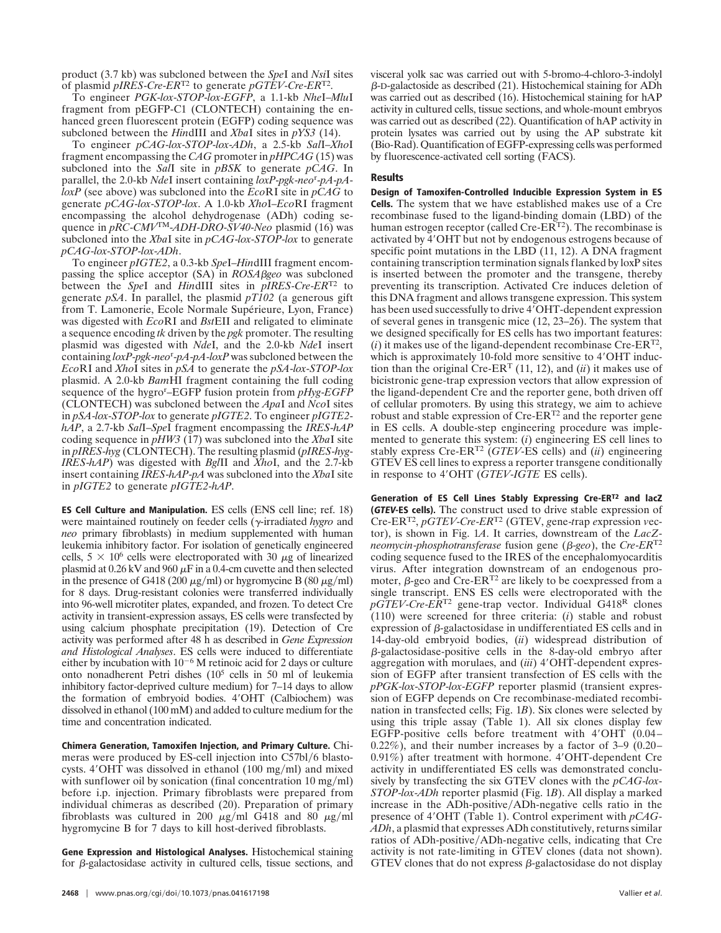product (3.7 kb) was subcloned between the *Spe*I and *Nsi*I sites of plasmid *pIRES*-*Cre*-*ER*T2 to generate *pGTEV*-*Cre*-*ER*T2.

To engineer *PGK*-*lox*-*STOP*-*lox*-*EGFP*, a 1.1-kb *Nhe*I–*Mlu*I fragment from pEGFP-C1 (CLONTECH) containing the enhanced green fluorescent protein (EGFP) coding sequence was subcloned between the *Hin*dIII and *Xba*I sites in *pYS3* (14).

To engineer *pCAG*-*lox*-*STOP*-*lox*-*ADh*, a 2.5-kb *Sal*I–*Xho*I fragment encompassing the *CAG* promoter in *pHPCAG* (15) was subcloned into the *Sal*I site in *pBSK* to generate *pCAG*. In parallel, the 2.0-kb *Nde*I insert containing *loxP*-*pgk*-*neo*<sup>r</sup> -*pA*-*pAloxP* (see above) was subcloned into the *Eco*RI site in *pCAG* to generate *pCAG*-*lox*-*STOP*-*lox*. A 1.0-kb *Xho*I–*Eco*RI fragment encompassing the alcohol dehydrogenase (ADh) coding sequence in *pRC*-*CMV*TM-*ADH*-*DRO*-*SV40*-*Neo* plasmid (16) was subcloned into the *Xba*I site in *pCAG*-*lox*-*STOP*-*lox* to generate *pCAG*-*lox*-*STOP*-*lox*-*ADh*.

To engineer *pIGTE2*, a 0.3-kb *Spe*I–*Hin*dIII fragment encompassing the splice acceptor (SA) in *ROSA*b*geo* was subcloned between the *Spe*I and *Hin*dIII sites in *pIRES*-*Cre*-*ER*T2 to generate *pSA*. In parallel, the plasmid *pT102* (a generous gift from T. Lamonerie, Ecole Normale Supérieure, Lyon, France) was digested with *Eco*RI and *Bst*EII and religated to eliminate a sequence encoding *tk* driven by the *pgk* promoter. The resulting plasmid was digested with *Nde*I, and the 2.0-kb *Nde*I insert containing *loxP*-*pgk*-*neo*<sup>r</sup> -*pA*-*pA*-*loxP* was subcloned between the *Eco*RI and *Xho*I sites in *pSA* to generate the *pSA*-*lox*-*STOP*-*lox* plasmid. A 2.0-kb *Bam*HI fragment containing the full coding sequence of the hygro<sup>r</sup> –EGFP fusion protein from *pHyg*-*EGFP* (CLONTECH) was subcloned between the *Apa*I and *Nco*I sites in *pSA*-*lox*-*STOP*-*lox* to generate *pIGTE2*. To engineer *pIGTE2 hAP*, a 2.7-kb *Sal*I–*Spe*I fragment encompassing the *IRES*-*hAP* coding sequence in *pHW3* (17) was subcloned into the *Xba*I site in *pIRES*-*hyg* (CLONTECH). The resulting plasmid (*pIRES*-*hyg*-*IRES*-*hAP*) was digested with *Bgl*II and *Xho*I, and the 2.7-kb insert containing *IRES*-*hAP*-*pA* was subcloned into the *Xba*I site in *pIGTE2* to generate *pIGTE2*-*hAP*.

**ES Cell Culture and Manipulation.** ES cells (ENS cell line; ref. 18) were maintained routinely on feeder cells (γ-irradiated *hygro* and *neo* primary fibroblasts) in medium supplemented with human leukemia inhibitory factor. For isolation of genetically engineered cells,  $5 \times 10^6$  cells were electroporated with 30  $\mu$ g of linearized plasmid at  $0.26 \text{ kV}$  and  $960 \mu \text{F}$  in a 0.4-cm cuvette and then selected in the presence of G418 (200  $\mu$ g/ml) or hygromycine B (80  $\mu$ g/ml) for 8 days. Drug-resistant colonies were transferred individually into 96-well microtiter plates, expanded, and frozen. To detect Cre activity in transient-expression assays, ES cells were transfected by using calcium phosphate precipitation (19). Detection of Cre activity was performed after 48 h as described in *Gene Expression and Histological Analyses*. ES cells were induced to differentiate either by incubation with  $10^{-6}$  M retinoic acid for 2 days or culture onto nonadherent Petri dishes (105 cells in 50 ml of leukemia inhibitory factor-deprived culture medium) for 7–14 days to allow the formation of embryoid bodies. 4'OHT (Calbiochem) was dissolved in ethanol (100 mM) and added to culture medium for the time and concentration indicated.

**Chimera Generation, Tamoxifen Injection, and Primary Culture.** Chimeras were produced by ES-cell injection into C57bl/6 blastocysts. 4 $'$ OHT was dissolved in ethanol (100 mg/ml) and mixed with sunflower oil by sonication (final concentration  $10 \text{ mg/ml}$ ) before i.p. injection. Primary fibroblasts were prepared from individual chimeras as described (20). Preparation of primary fibroblasts was cultured in 200  $\mu$ g/ml G418 and 80  $\mu$ g/ml hygromycine B for 7 days to kill host-derived fibroblasts.

**Gene Expression and Histological Analyses.** Histochemical staining for  $\beta$ -galactosidase activity in cultured cells, tissue sections, and visceral yolk sac was carried out with 5-bromo-4-chloro-3-indolyl  $\beta$ -D-galactoside as described (21). Histochemical staining for ADh was carried out as described (16). Histochemical staining for hAP activity in cultured cells, tissue sections, and whole-mount embryos was carried out as described (22). Quantification of hAP activity in protein lysates was carried out by using the AP substrate kit (Bio-Rad). Quantification of EGFP-expressing cells was performed by fluorescence-activated cell sorting (FACS).

## **Results**

**Design of Tamoxifen-Controlled Inducible Expression System in ES Cells.** The system that we have established makes use of a Cre recombinase fused to the ligand-binding domain (LBD) of the human estrogen receptor (called Cre-ER<sup>T2</sup>). The recombinase is activated by 4'OHT but not by endogenous estrogens because of specific point mutations in the LBD (11, 12). A DNA fragment containing transcription termination signals flanked by loxP sites is inserted between the promoter and the transgene, thereby preventing its transcription. Activated Cre induces deletion of this DNA fragment and allows transgene expression. This system has been used successfully to drive 4'OHT-dependent expression of several genes in transgenic mice (12, 23–26). The system that we designed specifically for ES cells has two important features:  $(i)$  it makes use of the ligand-dependent recombinase Cre-ER<sup>T2</sup>, which is approximately 10-fold more sensitive to 4 $'$ OHT induction than the original Cre-ER<sup>T</sup> (11, 12), and (*ii*) it makes use of bicistronic gene-trap expression vectors that allow expression of the ligand-dependent Cre and the reporter gene, both driven off of cellular promoters. By using this strategy, we aim to achieve robust and stable expression of  $Cre-ER^{T2}$  and the reporter gene in ES cells. A double-step engineering procedure was implemented to generate this system: (*i*) engineering ES cell lines to stably express Cre-ERT2 (*GTEV*-ES cells) and (*ii*) engineering GTEV ES cell lines to express a reporter transgene conditionally in response to 4'OHT ( $\overline{GTEV}\cdot \overline{IGTE}$  ES cells).

**Generation of ES Cell Lines Stably Expressing Cre-ERT2 and lacZ (GTEV-ES cells).** The construct used to drive stable expression of Cre-ERT2, *pGTEV*-*Cre*-*ER*T2 (GTEV, *g*ene-*t*rap *e*xpression *v*ector), is shown in Fig. 1*A*. It carries, downstream of the *LacZneomycin*-*phosphotransferase* fusion gene (b-*geo*), the *Cre*-*ER*T2 coding sequence fused to the IRES of the encephalomyocarditis virus. After integration downstream of an endogenous promoter,  $\beta$ -geo and Cre-ER<sup>T2</sup> are likely to be coexpressed from a single transcript. ENS ES cells were electroporated with the *pGTEV*-*Cre*-*ER*T2 gene-trap vector. Individual G418<sup>R</sup> clones (110) were screened for three criteria: (*i*) stable and robust expression of  $\beta$ -galactosidase in undifferentiated ES cells and in 14-day-old embryoid bodies, (*ii*) widespread distribution of  $\beta$ -galactosidase-positive cells in the 8-day-old embryo after aggregation with morulaes, and *(iii)* 4<sup>'</sup>OHT-dependent expression of EGFP after transient transfection of ES cells with the *pPGK*-*lox*-*STOP*-*lox*-*EGFP* reporter plasmid (transient expression of EGFP depends on Cre recombinase-mediated recombination in transfected cells; Fig. 1*B*). Six clones were selected by using this triple assay (Table 1). All six clones display few EGFP-positive cells before treatment with  $4'OHT$  (0.04– 0.22%), and their number increases by a factor of 3–9 (0.20–  $0.91\%$ ) after treatment with hormone. 4'OHT-dependent Cre activity in undifferentiated ES cells was demonstrated conclusively by transfecting the six GTEV clones with the *pCAG*-*lox*-*STOP*-*lox*-*ADh* reporter plasmid (Fig. 1*B*). All display a marked  $increase$  in the ADh-positive/ADh-negative cells ratio in the presence of 49OHT (Table 1). Control experiment with *pCAG*-*ADh*, a plasmid that expresses ADh constitutively, returns similar ratios of ADh-positive/ADh-negative cells, indicating that Cre activity is not rate-limiting in GTEV clones (data not shown). GTEV clones that do not express  $\beta$ -galactosidase do not display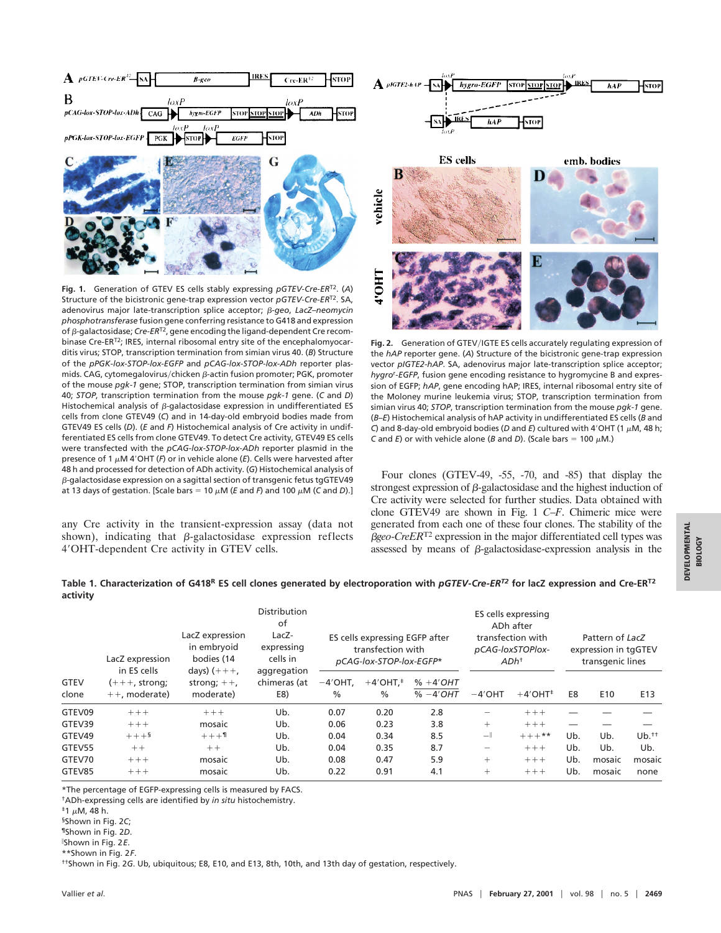

**Fig. 1.** Generation of GTEV ES cells stably expressing *pGTEV*-*Cre*-*ER*T2. (*A*) Structure of the bicistronic gene-trap expression vector *pGTEV*-*Cre*-*ER*T2. SA, adenovirus major late-transcription splice acceptor; b*-geo*, *LacZ–neomycin phosphotransferase* fusion gene conferring resistance to G418 and expression of  $\beta$ -galactosidase; *Cre-ER*<sup>T2</sup>, gene encoding the ligand-dependent Cre recombinase Cre-ER<sup>T2</sup>; IRES, internal ribosomal entry site of the encephalomyocarditis virus; STOP, transcription termination from simian virus 40. (*B*) Structure of the *pPGK-lox-STOP-lox-EGFP* and *pCAG-lox-STOP-lox-ADh* reporter plasmids. CAG, cytomegalovirus/chicken  $\beta$ -actin fusion promoter; PGK, promoter of the mouse *pgk-1* gene; STOP, transcription termination from simian virus 40; *STOP*, transcription termination from the mouse *pgk-1* gene. (*C* and *D*) Histochemical analysis of  $\beta$ -galactosidase expression in undifferentiated ES cells from clone GTEV49 (*C*) and in 14-day-old embryoid bodies made from GTEV49 ES cells (*D*). (*E* and *F*) Histochemical analysis of Cre activity in undifferentiated ES cells from clone GTEV49. To detect Cre activity, GTEV49 ES cells were transfected with the *pCAG-lox-STOP-lox-ADh* reporter plasmid in the presence of 1  $\mu$ M 4'OHT (*F*) or in vehicle alone (*E*). Cells were harvested after 48 h and processed for detection of ADh activity. (*G*) Histochemical analysis of  $\beta$ -galactosidase expression on a sagittal section of transgenic fetus tgGTEV49 at 13 days of gestation. [Scale bars = 10  $\mu$ M (*E* and *F*) and 100  $\mu$ M (*C* and *D*).]

any Cre activity in the transient-expression assay (data not shown), indicating that  $\beta$ -galactosidase expression reflects 4'OHT-dependent Cre activity in GTEV cells.



Fig. 2. Generation of GTEV/IGTE ES cells accurately regulating expression of the *hAP* reporter gene. (*A*) Structure of the bicistronic gene-trap expression vector *pIGTE2*-*hAP*. SA, adenovirus major late-transcription splice acceptor; *hygro*<sup>r</sup> -*EGFP*, fusion gene encoding resistance to hygromycine B and expression of EGFP; *hAP*, gene encoding hAP; IRES, internal ribosomal entry site of the Moloney murine leukemia virus; STOP, transcription termination from simian virus 40; *STOP*, transcription termination from the mouse *pgk*-*1* gene. (*B*–*E*) Histochemical analysis of hAP activity in undifferentiated ES cells (*B* and *C*) and 8-day-old embryoid bodies (*D* and *E*) cultured with 4'OHT (1  $\mu$ M, 48 h; *C* and *E*) or with vehicle alone (*B* and *D*). (Scale bars = 100  $\mu$ M.)

Four clones (GTEV-49, -55, -70, and -85) that display the strongest expression of  $\beta$ -galactosidase and the highest induction of Cre activity were selected for further studies. Data obtained with clone GTEV49 are shown in Fig. 1 *C*–*F*. Chimeric mice were generated from each one of these four clones. The stability of the b*geo*-*CreER*T2 expression in the major differentiated cell types was assessed by means of  $\beta$ -galactosidase-expression analysis in the

**Table 1. Characterization of G418R ES cell clones generated by electroporation with** *pGTEV-Cre-ERT2* **for lacZ expression and Cre-ERT2 activity**

|                      | LacZ expression                                    | LacZ expression<br>in embryoid<br>bodies (14 | Distribution<br>of<br>$LacZ-$<br>expressing<br>cells in | ES cells expressing EGFP after<br>transfection with<br>pCAG-lox-STOP-lox-EGFP* |                                          |                          | ES cells expressing<br>ADh after<br>transfection with<br>pCAG-loxSTOPlox-<br>ADh <sup>†</sup> |                        | Pattern of LacZ<br>expression in tgGTEV<br>transgenic lines |                 |                 |
|----------------------|----------------------------------------------------|----------------------------------------------|---------------------------------------------------------|--------------------------------------------------------------------------------|------------------------------------------|--------------------------|-----------------------------------------------------------------------------------------------|------------------------|-------------------------------------------------------------|-----------------|-----------------|
| <b>GTEV</b><br>clone | in ES cells<br>$(+++, strong)$<br>$++$ , moderate) | days) $(+++,$<br>strong; $++$ ,<br>moderate) | aggregation<br>chimeras (at<br>E8)                      | $-4'$ OHT.<br>$\%$                                                             | $+4'$ OHT. <sup>‡</sup><br>$\frac{0}{0}$ | $% +4'OHT$<br>$% -4'OHT$ | $-4'$ OHT                                                                                     | $+4'$ OHT <sup>+</sup> | E8                                                          | E <sub>10</sub> | E <sub>13</sub> |
| GTEV09               | $+++$                                              | $+++$                                        | Ub.                                                     | 0.07                                                                           | 0.20                                     | 2.8                      |                                                                                               | $+++$                  |                                                             |                 |                 |
| GTEV39               | $+++$                                              | mosaic                                       | Ub.                                                     | 0.06                                                                           | 0.23                                     | 3.8                      | $+$                                                                                           | $+++$                  |                                                             |                 |                 |
| GTEV49               | $+++$ §                                            | $+ + + 1$                                    | Ub.                                                     | 0.04                                                                           | 0.34                                     | 8.5                      | $-\ $                                                                                         | $+++***$               | Ub.                                                         | Ub.             | $Ub.*$          |
| GTEV55               | $++$                                               | $++$                                         | Ub.                                                     | 0.04                                                                           | 0.35                                     | 8.7                      | $\overline{\phantom{0}}$                                                                      | $+++$                  | Ub.                                                         | Ub.             | Ub.             |
| GTEV70               | $+++$                                              | mosaic                                       | Ub.                                                     | 0.08                                                                           | 0.47                                     | 5.9                      | $+$                                                                                           | $+++$                  | Ub.                                                         | mosaic          | mosaic          |
| GTEV85               | $+++$                                              | mosaic                                       | Ub.                                                     | 0.22                                                                           | 0.91                                     | 4.1                      | $^{+}$                                                                                        | $+++$                  | Ub.                                                         | mosaic          | none            |

\*The percentage of EGFP-expressing cells is measured by FACS.

†ADh-expressing cells are identified by *in situ* histochemistry.

§Shown in Fig. 2*C*;

¶Shown in Fig. 2*D*.

\ Shown in Fig. 2*E*.

\*\*Shown in Fig. 2*F*.

††Shown in Fig. 2*G*. Ub, ubiquitous; E8, E10, and E13, 8th, 10th, and 13th day of gestation, respectively.

 $\pm$ 1  $\mu$ M, 48 h.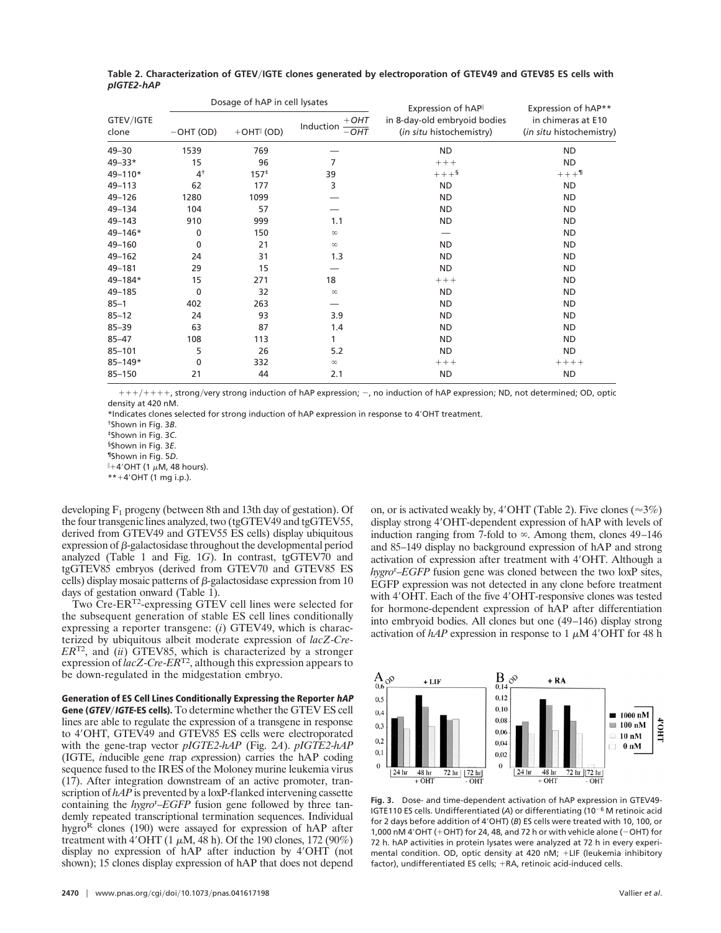|                    |                | Dosage of hAP in cell lysates |                                | Expression of hAP                                        | Expression of hAP**<br>in chimeras at E10<br>(in situ histochemistry) |  |
|--------------------|----------------|-------------------------------|--------------------------------|----------------------------------------------------------|-----------------------------------------------------------------------|--|
| GTEV/IGTE<br>clone | $-$ OHT (OD)   | $+$ OHT $\parallel$ (OD)      | $+$ OHT<br>Induction<br>$-OHT$ | in 8-day-old embryoid bodies<br>(in situ histochemistry) |                                                                       |  |
| $49 - 30$          | 1539           | 769                           |                                | <b>ND</b>                                                | <b>ND</b>                                                             |  |
| 49-33*             | 15             | 96                            | 7                              | $++++$                                                   | <b>ND</b>                                                             |  |
| 49-110*            | 4 <sup>†</sup> | $157*$                        | 39                             | $+++$ §                                                  | $+++11$                                                               |  |
| 49-113             | 62             | 177                           | 3                              | <b>ND</b>                                                | <b>ND</b>                                                             |  |
| 49-126             | 1280           | 1099                          |                                | <b>ND</b>                                                | <b>ND</b>                                                             |  |
| 49-134             | 104            | 57                            |                                | <b>ND</b>                                                | <b>ND</b>                                                             |  |
| 49-143             | 910            | 999                           | 1.1                            | <b>ND</b>                                                | <b>ND</b>                                                             |  |
| 49-146*            | 0              | 150                           | $\infty$                       |                                                          | <b>ND</b>                                                             |  |
| 49-160             | 0              | 21                            | $\infty$                       | <b>ND</b>                                                | <b>ND</b>                                                             |  |
| 49-162             | 24             | 31                            | 1.3                            | <b>ND</b>                                                | <b>ND</b>                                                             |  |
| 49-181             | 29             | 15                            |                                | ND.                                                      | <b>ND</b>                                                             |  |
| 49-184*            | 15             | 271                           | 18                             | $++++$                                                   | <b>ND</b>                                                             |  |
| 49-185             | 0              | 32                            | $\infty$                       | ND                                                       | <b>ND</b>                                                             |  |
| $85 - 1$           | 402            | 263                           |                                | ND                                                       | <b>ND</b>                                                             |  |
| $85 - 12$          | 24             | 93                            | 3.9                            | <b>ND</b>                                                | <b>ND</b>                                                             |  |
| $85 - 39$          | 63             | 87                            | 1.4                            | <b>ND</b>                                                | <b>ND</b>                                                             |  |
| $85 - 47$          | 108            | 113                           | 1                              | <b>ND</b>                                                | <b>ND</b>                                                             |  |
| $85 - 101$         | 5              | 26                            | 5.2                            | <b>ND</b>                                                | <b>ND</b>                                                             |  |
| $85 - 149*$        | 0              | 332                           | $\infty$                       | $++++$                                                   | $+++++$                                                               |  |
| $85 - 150$         | 21             | 44                            | 2.1                            | <b>ND</b>                                                | <b>ND</b>                                                             |  |

**Table 2. Characterization of GTEV**y**IGTE clones generated by electroporation of GTEV49 and GTEV85 ES cells with** *pIGTE2-hAP*

 $1111111111111$ , strong/very strong induction of hAP expression;  $-$ , no induction of hAP expression; ND, not determined; OD, optic density at 420 nM.

\*Indicates clones selected for strong induction of hAP expression in response to 4'OHT treatment.

†Shown in Fig. 3*B*.

‡Shown in Fig. 3*C*.

§Shown in Fig. 3*E*.

¶Shown in Fig. 5*D*.

 $\parallel$ +4'OHT (1  $\mu$ M, 48 hours).

 $*+4'$ OHT (1 mg i.p.).

developing  $F_1$  progeny (between 8th and 13th day of gestation). Of the four transgenic lines analyzed, two (tgGTEV49 and tgGTEV55, derived from GTEV49 and GTEV55 ES cells) display ubiquitous expression of  $\beta$ -galactosidase throughout the developmental period analyzed (Table 1 and Fig. 1*G*). In contrast, tgGTEV70 and tgGTEV85 embryos (derived from GTEV70 and GTEV85 ES cells) display mosaic patterns of  $\beta$ -galactosidase expression from 10 days of gestation onward (Table 1).

Two Cre-ERT2-expressing GTEV cell lines were selected for the subsequent generation of stable ES cell lines conditionally expressing a reporter transgene: (*i*) GTEV49, which is characterized by ubiquitous albeit moderate expression of *lacZ*-*Cre*-*ER*T2, and (*ii*) GTEV85, which is characterized by a stronger expression of *lacZ*-*Cre*-*ER*T2, although this expression appears to be down-regulated in the midgestation embryo.

**Generation of ES Cell Lines Conditionally Expressing the Reporter hAP Gene (GTEV/IGTE-ES cells).** To determine whether the GTEV ES cell lines are able to regulate the expression of a transgene in response to 4'OHT, GTEV49 and GTEV85 ES cells were electroporated with the gene-trap vector *pIGTE2*-*hAP* (Fig. 2*A*). *pIGTE2*-*hAP* (IGTE, *i*nducible *g*ene *t*rap *e*xpression) carries the hAP coding sequence fused to the IRES of the Moloney murine leukemia virus (17). After integration downstream of an active promoter, transcription of *hAP* is prevented by a loxP-flanked intervening cassette containing the *hygro*<sup>r</sup> –*EGFP* fusion gene followed by three tandemly repeated transcriptional termination sequences. Individual hygro<sup>R</sup> clones (190) were assayed for expression of hAP after treatment with 4'OHT (1  $\mu$ M, 48 h). Of the 190 clones, 172 (90%) display no expression of hAP after induction by 4'OHT (not shown); 15 clones display expression of hAP that does not depend

on, or is activated weakly by, 4'OHT (Table 2). Five clones ( $\approx$ 3%) display strong 4'OHT-dependent expression of hAP with levels of induction ranging from 7-fold to  $\infty$ . Among them, clones 49–146 and 85–149 display no background expression of hAP and strong activation of expression after treatment with 4'OHT. Although a *hygro*<sup>r</sup> –*EGFP* fusion gene was cloned between the two loxP sites, EGFP expression was not detected in any clone before treatment with 4'OHT. Each of the five 4'OHT-responsive clones was tested for hormone-dependent expression of hAP after differentiation into embryoid bodies. All clones but one (49–146) display strong activation of  $hAP$  expression in response to 1  $\mu$ M 4'OHT for 48 h



**Fig. 3.** Dose- and time-dependent activation of hAP expression in GTEV49- IGTE110 ES cells. Undifferentiated  $(A)$  or differentiating  $(10^{-6}$  M retinoic acid for 2 days before addition of 4'OHT) (*B*) ES cells were treated with 10, 100, or 1,000 nM 4'OHT (+OHT) for 24, 48, and 72 h or with vehicle alone ( $-$ OHT) for 72 h. hAP activities in protein lysates were analyzed at 72 h in every experimental condition. OD, optic density at 420 nM;  $+$ LIF (leukemia inhibitory factor), undifferentiated ES cells; +RA, retinoic acid-induced cells.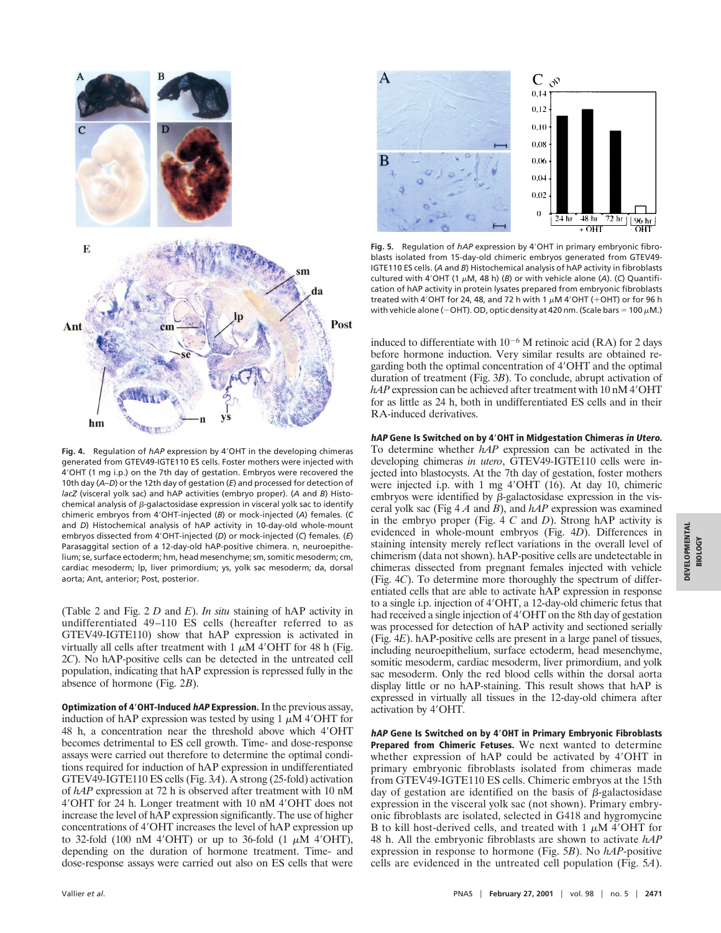

Fig. 4. Regulation of *hAP* expression by 4'OHT in the developing chimeras generated from GTEV49-IGTE110 ES cells. Foster mothers were injected with 4'OHT (1 mg i.p.) on the 7th day of gestation. Embryos were recovered the 10th day (*A*–*D*) or the 12th day of gestation (*E*) and processed for detection of *lacZ* (visceral yolk sac) and hAP activities (embryo proper). (*A* and *B*) Histochemical analysis of  $\beta$ -galactosidase expression in visceral yolk sac to identify chimeric embryos from 49OHT-injected (*B*) or mock-injected (*A*) females. (*C* and *D*) Histochemical analysis of hAP activity in 10-day-old whole-mount embryos dissected from 49OHT-injected (*D*) or mock-injected (*C*) females. (*E*) Parasaggital section of a 12-day-old hAP-positive chimera. n, neuroepithelium; se, surface ectoderm; hm, head mesenchyme; sm, somitic mesoderm; cm, cardiac mesoderm; lp, liver primordium; ys, yolk sac mesoderm; da, dorsal aorta; Ant, anterior; Post, posterior.

(Table 2 and Fig. 2 *D* and *E*). *In situ* staining of hAP activity in undifferentiated 49–110 ES cells (hereafter referred to as GTEV49-IGTE110) show that hAP expression is activated in virtually all cells after treatment with 1  $\mu$ M 4'OHT for 48 h (Fig. 2*C*). No hAP-positive cells can be detected in the untreated cell population, indicating that hAP expression is repressed fully in the absence of hormone (Fig. 2*B*).

**Optimization of 4**\***OHT-Induced hAP Expression.**In the previous assay, induction of hAP expression was tested by using  $1 \mu M$  4'OHT for 48 h, a concentration near the threshold above which 4'OHT becomes detrimental to ES cell growth. Time- and dose-response assays were carried out therefore to determine the optimal conditions required for induction of hAP expression in undifferentiated GTEV49-IGTE110 ES cells (Fig. 3*A*). A strong (25-fold) activation of *hAP* expression at 72 h is observed after treatment with 10 nM 4'OHT for 24 h. Longer treatment with 10 nM 4'OHT does not increase the level of hAP expression significantly. The use of higher concentrations of 4 $'$ OHT increases the level of hAP expression up to 32-fold (100 nM 4'OHT) or up to 36-fold (1  $\mu$ M 4'OHT), depending on the duration of hormone treatment. Time- and dose-response assays were carried out also on ES cells that were



Fig. 5. Regulation of *hAP* expression by 4'OHT in primary embryonic fibroblasts isolated from 15-day-old chimeric embryos generated from GTEV49- IGTE110 ES cells. (*A* and *B*) Histochemical analysis of hAP activity in fibroblasts cultured with 4'OHT (1  $\mu$ M, 48 h) (*B*) or with vehicle alone (*A*). (*C*) Quantification of hAP activity in protein lysates prepared from embryonic fibroblasts treated with 4'OHT for 24, 48, and 72 h with 1  $\mu$ M 4'OHT (+OHT) or for 96 h with vehicle alone (-OHT). OD, optic density at 420 nm. (Scale bars = 100  $\mu$ M.)

induced to differentiate with  $10^{-6}$  M retinoic acid (RA) for 2 days before hormone induction. Very similar results are obtained regarding both the optimal concentration of 4'OHT and the optimal duration of treatment (Fig. 3*B*). To conclude, abrupt activation of  $hAP$  expression can be achieved after treatment with 10 nM 4 $'$ OHT for as little as 24 h, both in undifferentiated ES cells and in their RA-induced derivatives.

**hAP Gene Is Switched on by 4**\***OHT in Midgestation Chimeras in Utero.**

To determine whether *hAP* expression can be activated in the developing chimeras *in utero*, GTEV49-IGTE110 cells were injected into blastocysts. At the 7th day of gestation, foster mothers were injected i.p. with 1 mg 4'OHT (16). At day 10, chimeric embryos were identified by  $\beta$ -galactosidase expression in the visceral yolk sac (Fig 4 *A* and *B*), and *hAP* expression was examined in the embryo proper (Fig. 4 *C* and *D*). Strong hAP activity is evidenced in whole-mount embryos (Fig. 4*D*). Differences in staining intensity merely reflect variations in the overall level of chimerism (data not shown). hAP-positive cells are undetectable in chimeras dissected from pregnant females injected with vehicle (Fig. 4*C*). To determine more thoroughly the spectrum of differentiated cells that are able to activate hAP expression in response to a single i.p. injection of 4'OHT, a 12-day-old chimeric fetus that had received a single injection of 4 $'$ OHT on the 8th day of gestation was processed for detection of hAP activity and sectioned serially (Fig. 4*E*). hAP-positive cells are present in a large panel of tissues, including neuroepithelium, surface ectoderm, head mesenchyme, somitic mesoderm, cardiac mesoderm, liver primordium, and yolk sac mesoderm. Only the red blood cells within the dorsal aorta display little or no hAP-staining. This result shows that hAP is expressed in virtually all tissues in the 12-day-old chimera after activation by 4'OHT.

**hAP Gene Is Switched on by 4**\***OHT in Primary Embryonic Fibroblasts Prepared from Chimeric Fetuses.** We next wanted to determine whether expression of hAP could be activated by 4'OHT in primary embryonic fibroblasts isolated from chimeras made from GTEV49-IGTE110 ES cells. Chimeric embryos at the 15th day of gestation are identified on the basis of  $\beta$ -galactosidase expression in the visceral yolk sac (not shown). Primary embryonic fibroblasts are isolated, selected in G418 and hygromycine B to kill host-derived cells, and treated with  $1 \mu M$  4'OHT for 48 h. All the embryonic fibroblasts are shown to activate *hAP* expression in response to hormone (Fig. 5*B*). No *hAP*-positive cells are evidenced in the untreated cell population (Fig. 5*A*). **BIOLOGY**